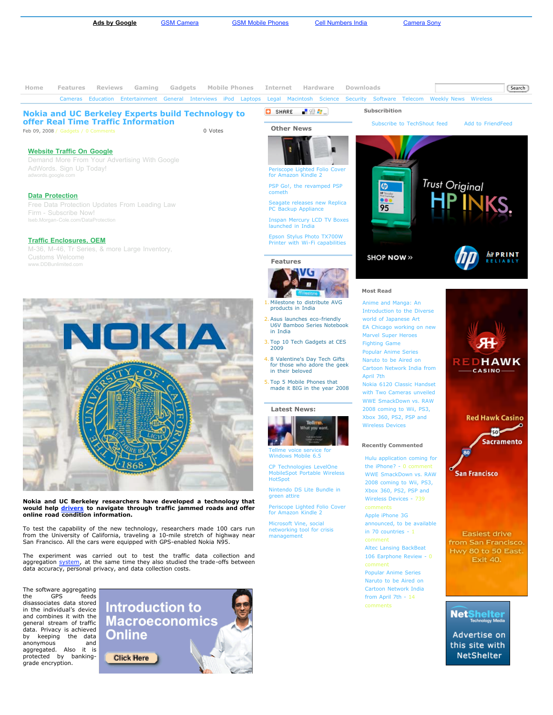